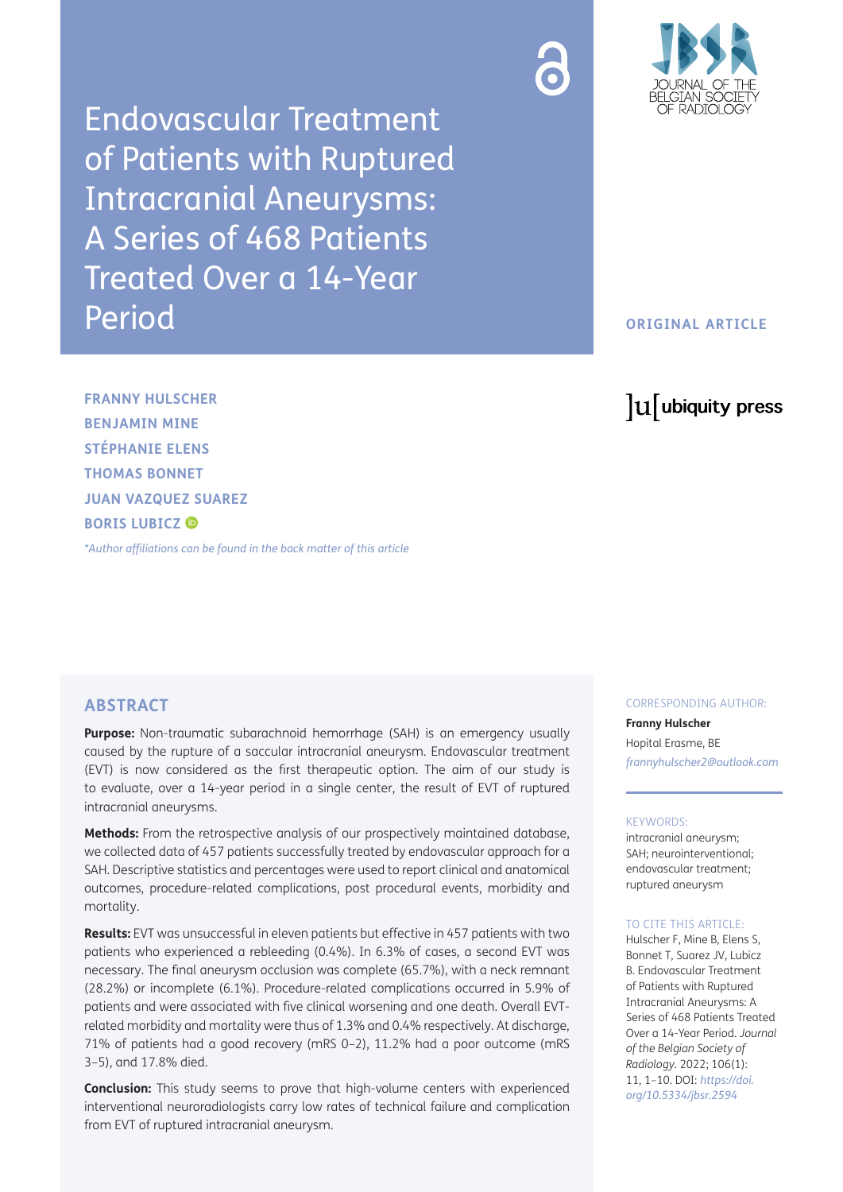Endovascular Treatment of Patients with Ruptured Intracranial Aneurysms: A Series of 468 Patients Treated Over a 14-Year Period



# **ORIGINAL ARTICLE**

# lu ubiquity press

**FRANNY HULSCHER BENJAMIN MINE STÉPHANIE ELENS THOMAS BONNET JUAN VAZQUEZ SUAREZ BORIS LUBICZ ®** 

*[\\*Author affiliations can be found in the back matter of this article](#page-7-0)*

# **ABSTRACT**

**Purpose:** Non-traumatic subarachnoid hemorrhage (SAH) is an emergency usually caused by the rupture of a saccular intracranial aneurysm. Endovascular treatment (EVT) is now considered as the first therapeutic option. The aim of our study is to evaluate, over a 14-year period in a single center, the result of EVT of ruptured intracranial aneurysms.

**Methods:** From the retrospective analysis of our prospectively maintained database, we collected data of 457 patients successfully treated by endovascular approach for a SAH. Descriptive statistics and percentages were used to report clinical and anatomical outcomes, procedure-related complications, post procedural events, morbidity and mortality.

**Results:** EVT was unsuccessful in eleven patients but effective in 457 patients with two patients who experienced a rebleeding (0.4%). In 6.3% of cases, a second EVT was necessary. The final aneurysm occlusion was complete (65.7%), with a neck remnant (28.2%) or incomplete (6.1%). Procedure-related complications occurred in 5.9% of patients and were associated with five clinical worsening and one death. Overall EVTrelated morbidity and mortality were thus of 1.3% and 0.4% respectively. At discharge, 71% of patients had a good recovery (mRS 0–2), 11.2% had a poor outcome (mRS 3–5), and 17.8% died.

**Conclusion:** This study seems to prove that high-volume centers with experienced interventional neuroradiologists carry low rates of technical failure and complication from EVT of ruptured intracranial aneurysm.

CORRESPONDING AUTHOR:

**Franny Hulscher** Hopital Erasme, BE *[frannyhulscher2@outlook.com](mailto:frannyhulscher2@outlook.com)*

#### KEYWORDS:

intracranial aneurysm; SAH; neurointerventional; endovascular treatment; ruptured aneurysm

#### TO CITE THIS ARTICLE:

Hulscher F, Mine B, Elens S, Bonnet T, Suarez JV, Lubicz B. Endovascular Treatment of Patients with Ruptured Intracranial Aneurysms: A Series of 468 Patients Treated Over a 14-Year Period. *Journal of the Belgian Society of Radiology.* 2022; 106(1): 11, 1–10. DOI: *[https://doi.](https://doi.org/10.5334/jbsr.2594) [org/10.5334/jbsr.2594](https://doi.org/10.5334/jbsr.2594)*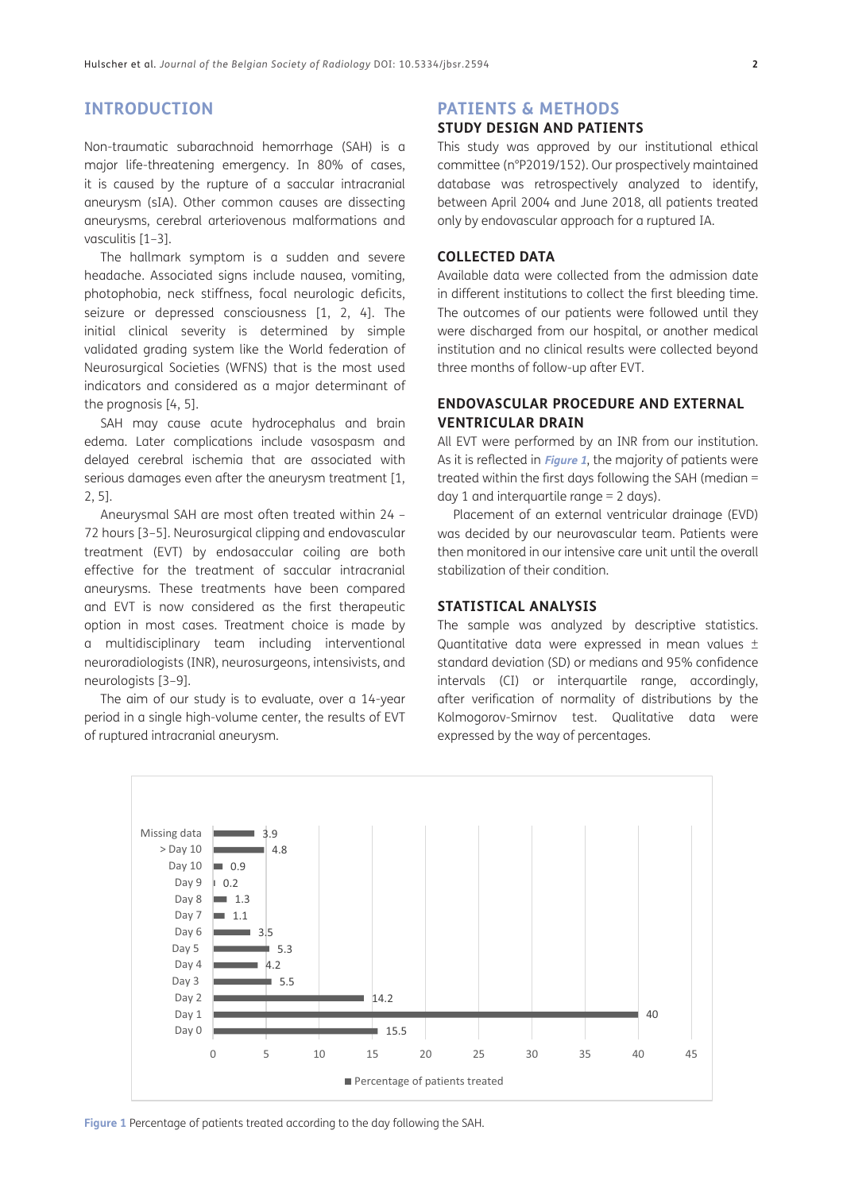# **INTRODUCTION**

Non-traumatic subarachnoid hemorrhage (SAH) is a major life-threatening emergency. In 80% of cases, it is caused by the rupture of a saccular intracranial aneurysm (sIA). Other common causes are dissecting aneurysms, cerebral arteriovenous malformations and vasculitis [\[1](#page-8-0)–[3](#page-8-0)].

The hallmark symptom is a sudden and severe headache. Associated signs include nausea, vomiting, photophobia, neck stiffness, focal neurologic deficits, seizure or depressed consciousness [\[1](#page-8-0), [2,](#page-8-0) [4\]](#page-8-0). The initial clinical severity is determined by simple validated grading system like the World federation of Neurosurgical Societies (WFNS) that is the most used indicators and considered as a major determinant of the prognosis [\[4](#page-8-0), [5](#page-8-0)].

SAH may cause acute hydrocephalus and brain edema. Later complications include vasospasm and delayed cerebral ischemia that are associated with serious damages even after the aneurysm treatment [[1](#page-8-0), [2, 5](#page-8-0)].

Aneurysmal SAH are most often treated within 24 – 72 hours [\[3](#page-8-0)–[5](#page-8-0)]. Neurosurgical clipping and endovascular treatment (EVT) by endosaccular coiling are both effective for the treatment of saccular intracranial aneurysms. These treatments have been compared and EVT is now considered as the first therapeutic option in most cases. Treatment choice is made by a multidisciplinary team including interventional neuroradiologists (INR), neurosurgeons, intensivists, and neurologists [[3–9\]](#page-8-0).

The aim of our study is to evaluate, over a 14-year period in a single high-volume center, the results of EVT of ruptured intracranial aneurysm.

#### **PATIENTS & METHODS**

# **STUDY DESIGN AND PATIENTS**

This study was approved by our institutional ethical committee (n°P2019/152). Our prospectively maintained database was retrospectively analyzed to identify, between April 2004 and June 2018, all patients treated only by endovascular approach for a ruptured IA.

# **COLLECTED DATA**

Available data were collected from the admission date in different institutions to collect the first bleeding time. The outcomes of our patients were followed until they were discharged from our hospital, or another medical institution and no clinical results were collected beyond three months of follow-up after EVT.

# **ENDOVASCULAR PROCEDURE AND EXTERNAL VENTRICULAR DRAIN**

All EVT were performed by an INR from our institution. As it is reflected in **[Figure 1](#page-1-0)**, the majority of patients were treated within the first days following the SAH (median = day 1 and interquartile range = 2 days).

Placement of an external ventricular drainage (EVD) was decided by our neurovascular team. Patients were then monitored in our intensive care unit until the overall stabilization of their condition.

### **STATISTICAL ANALYSIS**

The sample was analyzed by descriptive statistics. Quantitative data were expressed in mean values ± standard deviation (SD) or medians and 95% confidence intervals (CI) or interquartile range, accordingly, after verification of normality of distributions by the Kolmogorov-Smirnov test. Qualitative data were expressed by the way of percentages.



<span id="page-1-0"></span>**Figure 1** Percentage of patients treated according to the day following the SAH.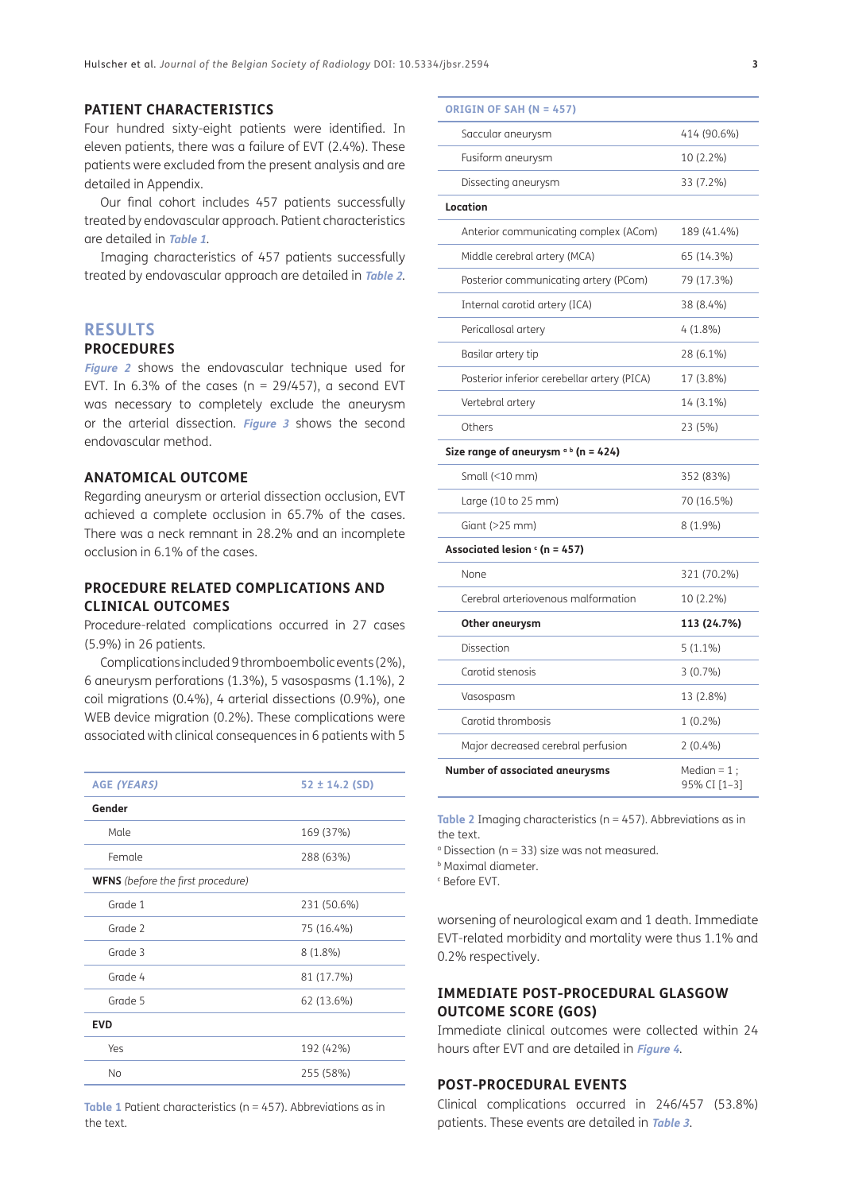# **PATIENT CHARACTERISTICS**

Four hundred sixty-eight patients were identified. In eleven patients, there was a failure of EVT (2.4%). These patients were excluded from the present analysis and are detailed in Appendix.

Our final cohort includes 457 patients successfully treated by endovascular approach. Patient characteristics are detailed in **[Table 1](#page-2-0)**.

Imaging characteristics of 457 patients successfully treated by endovascular approach are detailed in **[Table 2](#page-2-1)**.

#### **RESULTS**

#### **PROCEDURES**

**[Figure 2](#page-3-0)** shows the endovascular technique used for EVT. In 6.3% of the cases ( $n = 29/457$ ), a second EVT was necessary to completely exclude the aneurysm or the arterial dissection. **[Figure 3](#page-3-1)** shows the second endovascular method.

## **ANATOMICAL OUTCOME**

Regarding aneurysm or arterial dissection occlusion, EVT achieved a complete occlusion in 65.7% of the cases. There was a neck remnant in 28.2% and an incomplete occlusion in 6.1% of the cases.

### **PROCEDURE RELATED COMPLICATIONS AND CLINICAL OUTCOMES**

Procedure-related complications occurred in 27 cases (5.9%) in 26 patients.

Complications included 9 thromboembolic events (2%), 6 aneurysm perforations (1.3%), 5 vasospasms (1.1%), 2 coil migrations (0.4%), 4 arterial dissections (0.9%), one WEB device migration (0.2%). These complications were associated with clinical consequences in 6 patients with 5

| <b>AGE (YEARS)</b>                       | $52 \pm 14.2$ (SD) |  |  |  |
|------------------------------------------|--------------------|--|--|--|
| Gender                                   |                    |  |  |  |
| Male                                     | 169 (37%)          |  |  |  |
| Female                                   | 288 (63%)          |  |  |  |
| <b>WFNS</b> (before the first procedure) |                    |  |  |  |
| Grade 1                                  | 231 (50.6%)        |  |  |  |
| Grade 2                                  | 75 (16.4%)         |  |  |  |
| Grade 3                                  | $8(1.8\%)$         |  |  |  |
| Grade 4                                  | 81 (17.7%)         |  |  |  |
| Grade 5                                  | 62 (13.6%)         |  |  |  |
| <b>EVD</b>                               |                    |  |  |  |
| Yes                                      | 192 (42%)          |  |  |  |
| <b>No</b>                                | 255 (58%)          |  |  |  |

<span id="page-2-0"></span>**Table 1** Patient characteristics (n = 457). Abbreviations as in the text.

| ORIGIN OF SAH (N = 457)                     |                                |
|---------------------------------------------|--------------------------------|
| Saccular aneurysm                           | 414 (90.6%)                    |
| Fusiform aneurysm                           | 10 (2.2%)                      |
| Dissecting aneurysm                         | 33 (7.2%)                      |
| Location                                    |                                |
| Anterior communicating complex (ACom)       | 189 (41.4%)                    |
| Middle cerebral artery (MCA)                | 65 (14.3%)                     |
| Posterior communicating artery (PCom)       | 79 (17.3%)                     |
| Internal carotid artery (ICA)               | 38 (8.4%)                      |
| Pericallosal artery                         | $4(1.8\%)$                     |
| Basilar artery tip                          | 28 (6.1%)                      |
| Posterior inferior cerebellar artery (PICA) | 17 (3.8%)                      |
| Vertebral artery                            | 14 (3.1%)                      |
| Others                                      | 23 (5%)                        |
| Size range of aneurysm $\circ$ b (n = 424)  |                                |
| Small (<10 mm)                              | 352 (83%)                      |
| Large (10 to 25 mm)                         | 70 (16.5%)                     |
| Giant $(>25$ mm)                            | $8(1.9\%)$                     |
| Associated lesion $\epsilon$ (n = 457)      |                                |
| None                                        | 321 (70.2%)                    |
| Cerebral arteriovenous malformation         | 10 (2.2%)                      |
| Other aneurysm                              | 113 (24.7%)                    |
| Dissection                                  | $5(1.1\%)$                     |
| Carotid stenosis                            | $3(0.7\%)$                     |
| Vasospasm                                   | 13 (2.8%)                      |
| Carotid thrombosis                          | $1(0.2\%)$                     |
| Major decreased cerebral perfusion          | $2(0.4\%)$                     |
| Number of associated aneurysms              | Median = $1$ ;<br>95% CI [1-3] |

<span id="page-2-1"></span>**Table 2** Imaging characteristics (n = 457). Abbreviations as in the text.

a Dissection (n = 33) size was not measured.

b Maximal diameter.

c Before EVT.

worsening of neurological exam and 1 death. Immediate EVT-related morbidity and mortality were thus 1.1% and 0.2% respectively.

# **IMMEDIATE POST-PROCEDURAL GLASGOW OUTCOME SCORE (GOS)**

Immediate clinical outcomes were collected within 24 hours after EVT and are detailed in **[Figure 4](#page-4-0)**.

#### **POST-PROCEDURAL EVENTS**

Clinical complications occurred in 246/457 (53.8%) patients. These events are detailed in **[Table 3](#page-4-1)**.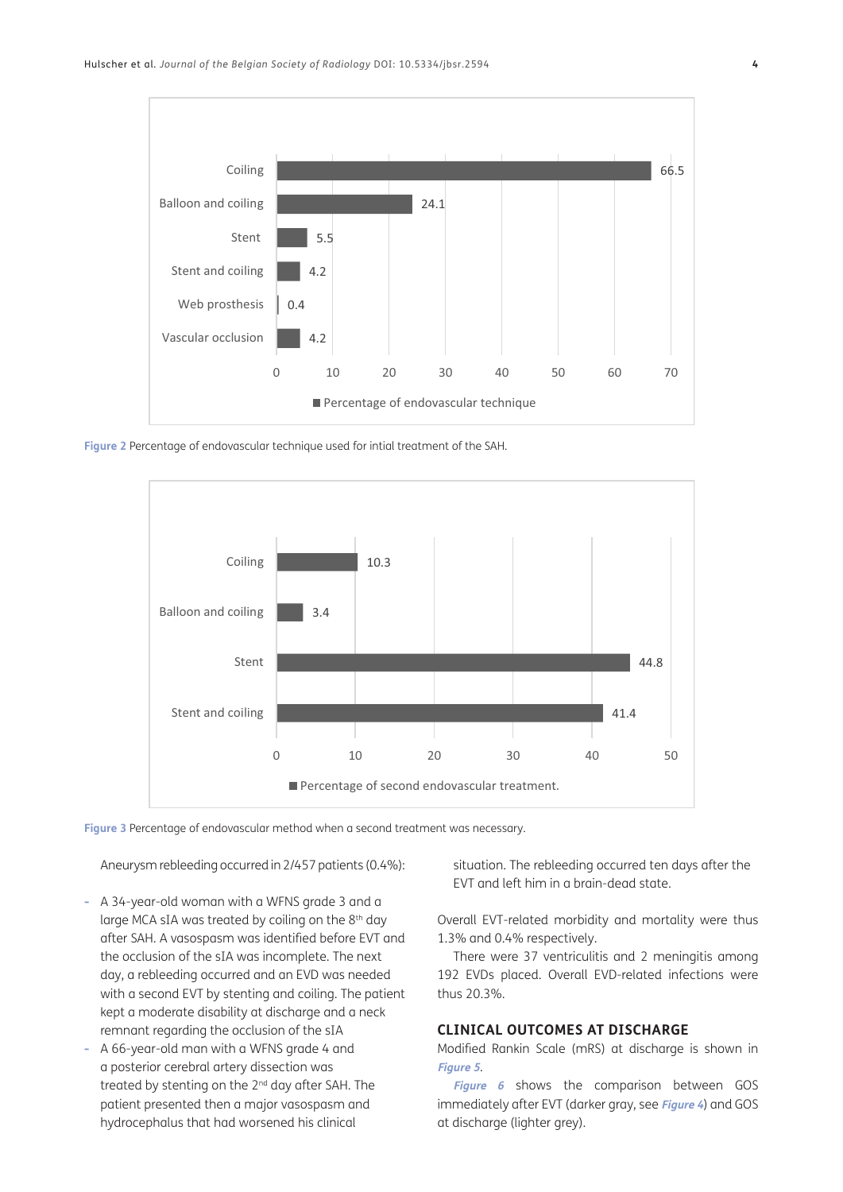

<span id="page-3-0"></span>**Figure 2** Percentage of endovascular technique used for intial treatment of the SAH.



<span id="page-3-1"></span>**Figure 3** Percentage of endovascular method when a second treatment was necessary.

Aneurysm rebleeding occurred in 2/457 patients (0.4%):

- **-** A 34-year-old woman with a WFNS grade 3 and a large MCA sIA was treated by coiling on the 8<sup>th</sup> day after SAH. A vasospasm was identified before EVT and the occlusion of the sIA was incomplete. The next day, a rebleeding occurred and an EVD was needed with a second EVT by stenting and coiling. The patient kept a moderate disability at discharge and a neck remnant regarding the occlusion of the sIA
- **-** A 66-year-old man with a WFNS grade 4 and a posterior cerebral artery dissection was treated by stenting on the 2<sup>nd</sup> day after SAH. The patient presented then a major vasospasm and hydrocephalus that had worsened his clinical

situation. The rebleeding occurred ten days after the EVT and left him in a brain-dead state.

Overall EVT-related morbidity and mortality were thus 1.3% and 0.4% respectively.

There were 37 ventriculitis and 2 meningitis among 192 EVDs placed. Overall EVD-related infections were thus 20.3%.

# **CLINICAL OUTCOMES AT DISCHARGE**

Modified Rankin Scale (mRS) at discharge is shown in **[Figure 5](#page-5-0)**.

**[Figure 6](#page-5-1)** shows the comparison between GOS immediately after EVT (darker gray, see **[Figure 4](#page-4-0)**) and GOS at discharge (lighter grey).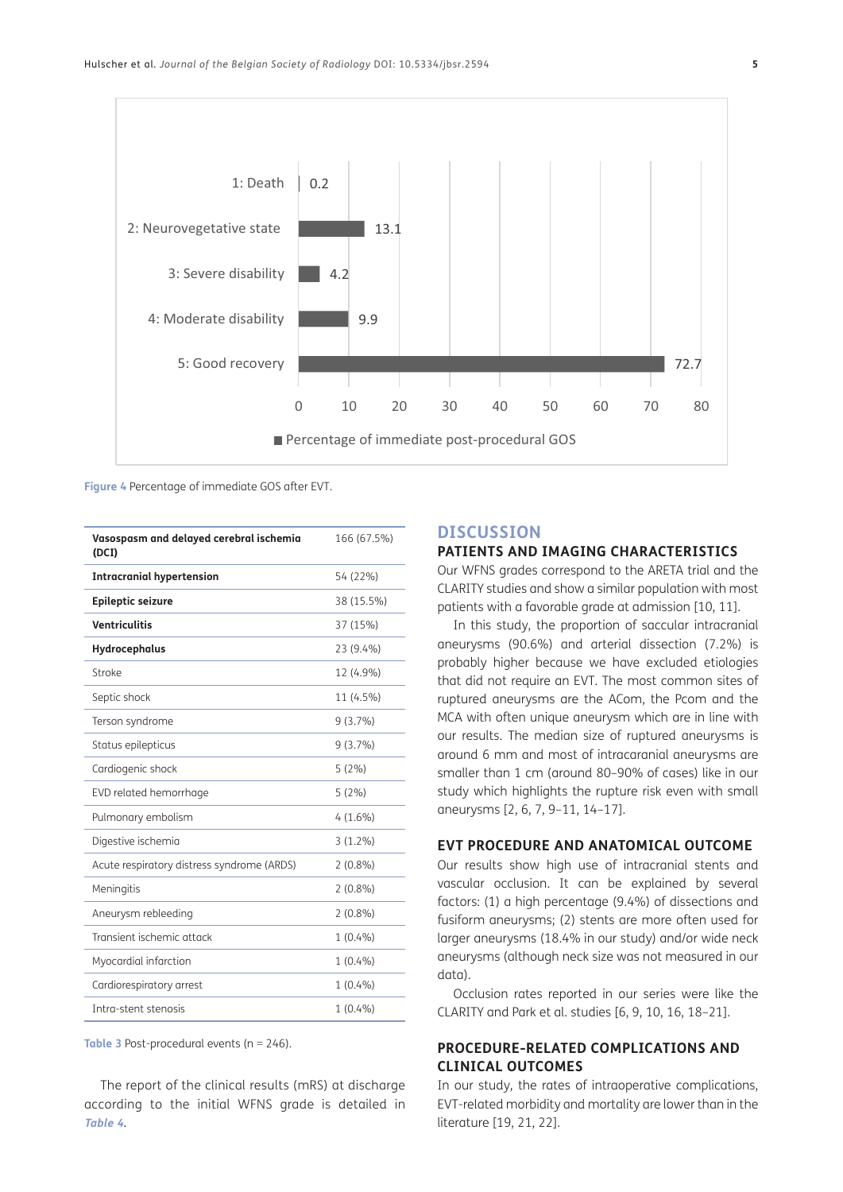

<span id="page-4-0"></span>**Figure 4** Percentage of immediate GOS after EVT.

| Vasospasm and delayed cerebral ischemia<br>(DCI) | 166 (67.5%) |
|--------------------------------------------------|-------------|
| <b>Intracranial hypertension</b>                 | 54 (22%)    |
| <b>Epileptic seizure</b>                         | 38 (15.5%)  |
| <b>Ventriculitis</b>                             | 37 (15%)    |
| Hydrocephalus                                    | 23 (9.4%)   |
| Stroke                                           | 12 (4.9%)   |
| Septic shock                                     | 11 (4.5%)   |
| Terson syndrome                                  | 9(3.7%)     |
| Status epilepticus                               | $9(3.7\%)$  |
| Cardiogenic shock                                | 5(2%)       |
| EVD related hemorrhage                           | 5(2%)       |
| Pulmonary embolism                               | $4(1.6\%)$  |
| Digestive ischemia                               | $3(1.2\%)$  |
| Acute respiratory distress syndrome (ARDS)       | $2(0.8\%)$  |
| Meningitis                                       | $2(0.8\%)$  |
| Aneurysm rebleeding                              | $2(0.8\%)$  |
| Transient ischemic attack                        | $1(0.4\%)$  |
| Myocardial infarction                            | $1(0.4\%)$  |
| Cardiorespiratory arrest                         | $1(0.4\%)$  |
| Intra-stent stenosis                             | $1(0.4\%)$  |

<span id="page-4-1"></span>**Table 3** Post-procedural events (n = 246).

The report of the clinical results (mRS) at discharge according to the initial WFNS grade is detailed in **[Table 4](#page-6-0)**.

# **DISCUSSION**

# **PATIENTS AND IMAGING CHARACTERISTICS**

Our WFNS grades correspond to the ARETA trial and the CLARITY studies and show a similar population with most patients with a favorable grade at admission [[10](#page-8-0), [11](#page-8-0)].

In this study, the proportion of saccular intracranial aneurysms (90.6%) and arterial dissection (7.2%) is probably higher because we have excluded etiologies that did not require an EVT. The most common sites of ruptured aneurysms are the ACom, the Pcom and the MCA with often unique aneurysm which are in line with our results. The median size of ruptured aneurysms is around 6 mm and most of intracaranial aneurysms are smaller than 1 cm (around 80–90% of cases) like in our study which highlights the rupture risk even with small aneurysms [[2, 6](#page-8-0), [7, 9](#page-8-0)–[11](#page-8-0), [14](#page-8-0)–[17\]](#page-8-0).

# **EVT PROCEDURE AND ANATOMICAL OUTCOME**

Our results show high use of intracranial stents and vascular occlusion. It can be explained by several factors: (1) a high percentage (9.4%) of dissections and fusiform aneurysms; (2) stents are more often used for larger aneurysms (18.4% in our study) and/or wide neck aneurysms (although neck size was not measured in our data).

Occlusion rates reported in our series were like the CLARITY and Park et al. studies [\[6](#page-8-0), [9, 10,](#page-8-0) [16](#page-8-0), [18](#page-8-0)–[21\]](#page-8-0).

# **PROCEDURE-RELATED COMPLICATIONS AND CLINICAL OUTCOMES**

In our study, the rates of intraoperative complications, EVT-related morbidity and mortality are lower than in the literature [[19](#page-8-0), [21, 22\]](#page-8-0).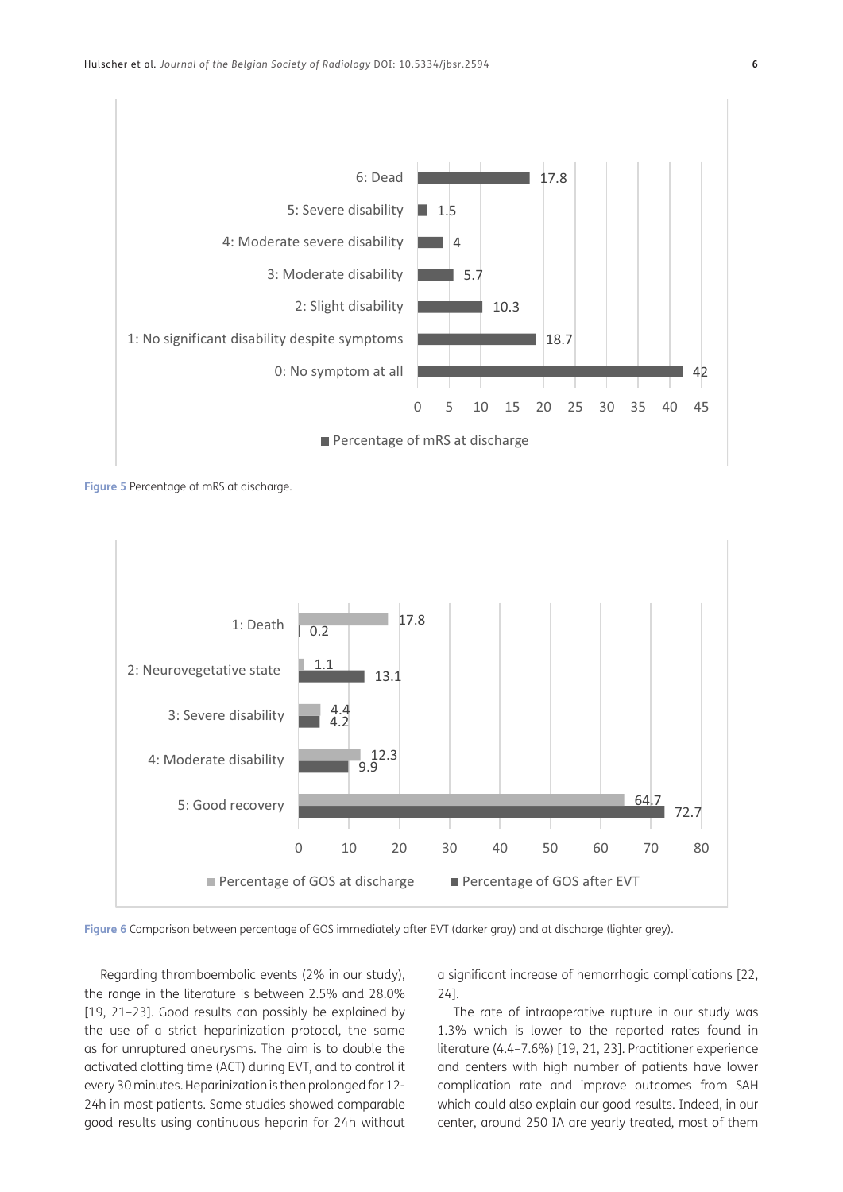

<span id="page-5-0"></span>**Figure 5** Percentage of mRS at discharge.



<span id="page-5-1"></span>**Figure 6** Comparison between percentage of GOS immediately after EVT (darker gray) and at discharge (lighter grey).

Regarding thromboembolic events (2% in our study), the range in the literature is between 2.5% and 28.0% [\[19,](#page-8-0) [21](#page-8-0)[–23\]](#page-9-0). Good results can possibly be explained by the use of a strict heparinization protocol, the same as for unruptured aneurysms. The aim is to double the activated clotting time (ACT) during EVT, and to control it every 30 minutes. Heparinization is then prolonged for 12- 24h in most patients. Some studies showed comparable good results using continuous heparin for 24h without a significant increase of hemorrhagic complications [\[22,](#page-8-0) [24](#page-9-0)].

The rate of intraoperative rupture in our study was 1.3% which is lower to the reported rates found in literature (4.4–7.6%) [[19, 21,](#page-8-0) [23](#page-9-0)]. Practitioner experience and centers with high number of patients have lower complication rate and improve outcomes from SAH which could also explain our good results. Indeed, in our center, around 250 IA are yearly treated, most of them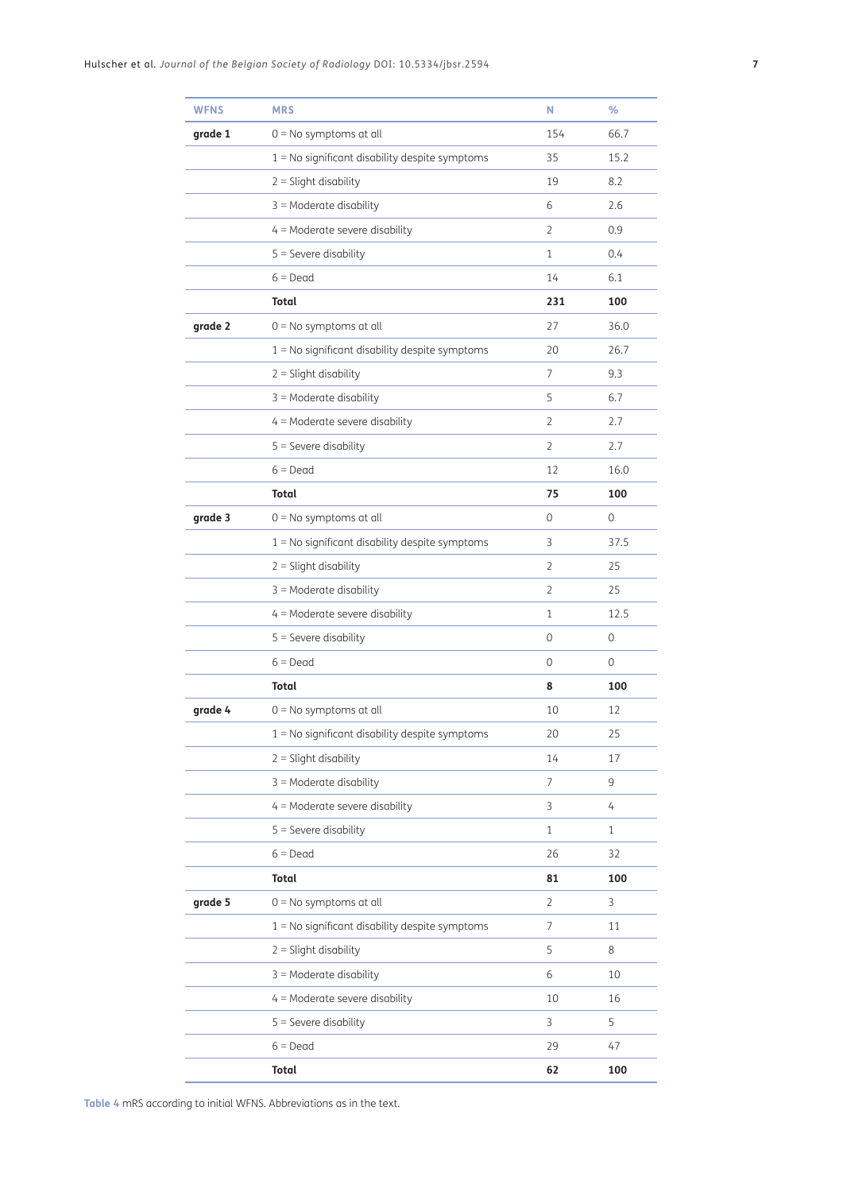| <b>WFNS</b> | <b>MRS</b>                                       | N              | %            |
|-------------|--------------------------------------------------|----------------|--------------|
| grade 1     | $0 = No$ symptoms at all                         | 154            | 66.7         |
|             | 1 = No significant disability despite symptoms   | 35             | 15.2         |
|             | $2 =$ Slight disability                          | 19             | 8.2          |
|             | $3$ = Moderate disability                        | 6              | 2.6          |
|             | $4$ = Moderate severe disability                 | $\overline{2}$ | 0.9          |
|             | $5 =$ Severe disability                          | $\mathbf{1}$   | 0.4          |
|             | $6 = Dead$                                       | 14             | 6.1          |
|             | <b>Total</b>                                     | 231            | 100          |
| grade 2     | $0 = No$ symptoms at all                         | 27             | 36.0         |
|             | 1 = No significant disability despite symptoms   | 20             | 26.7         |
|             | $2 =$ Slight disability                          | 7              | 9.3          |
|             | $3$ = Moderate disability                        | 5              | 6.7          |
|             | $4$ = Moderate severe disability                 | $\overline{2}$ | 2.7          |
|             | $5 =$ Severe disability                          | $\overline{2}$ | 2.7          |
|             | $6 = Dead$                                       | 12             | 16.0         |
|             | <b>Total</b>                                     | 75             | 100          |
| grade 3     | $0 = No$ symptoms at all                         | 0              | 0            |
|             | 1 = No significant disability despite symptoms   | 3              | 37.5         |
|             | $2 =$ Slight disability                          | 2              | 25           |
|             | $3$ = Moderate disability                        | $\overline{2}$ | 25           |
|             | $4$ = Moderate severe disability                 | 1              | 12.5         |
|             | $5 =$ Severe disability                          | 0              | 0            |
|             | $6 = Dead$                                       | 0              | 0            |
|             | Total                                            | 8              | 100          |
| grade 4     | $0 = No$ symptoms at all                         | 10             | 12           |
|             | 1 = No significant disability despite symptoms   | 20             | 25           |
|             | $2 =$ Slight disability                          | 14             | 17           |
|             | $3 =$ Moderate disability                        | $\overline{7}$ | 9            |
|             | $4$ = Moderate severe disability                 | 3              | 4            |
|             | $5 =$ Severe disability                          | $\mathbf{1}$   | $\mathbf{1}$ |
|             | $6 = Dead$                                       | 26             | 32           |
|             | <b>Total</b>                                     | 81             | 100          |
| grade 5     | $0 = No$ symptoms at all                         | $\overline{2}$ | 3            |
|             | $1 = No$ significant disability despite symptoms | $\overline{7}$ | 11           |
|             | $2 =$ Slight disability                          | 5              | 8            |
|             | $3 =$ Moderate disability                        | 6              | 10           |
|             | $4$ = Moderate severe disability                 | 10             | 16           |
|             | $5 =$ Severe disability                          | $\overline{3}$ | 5            |
|             | $6 = Dead$                                       | 29             | 47           |
|             | Total                                            | 62             | 100          |

<span id="page-6-0"></span>**Table 4** mRS according to initial WFNS. Abbreviations as in the text.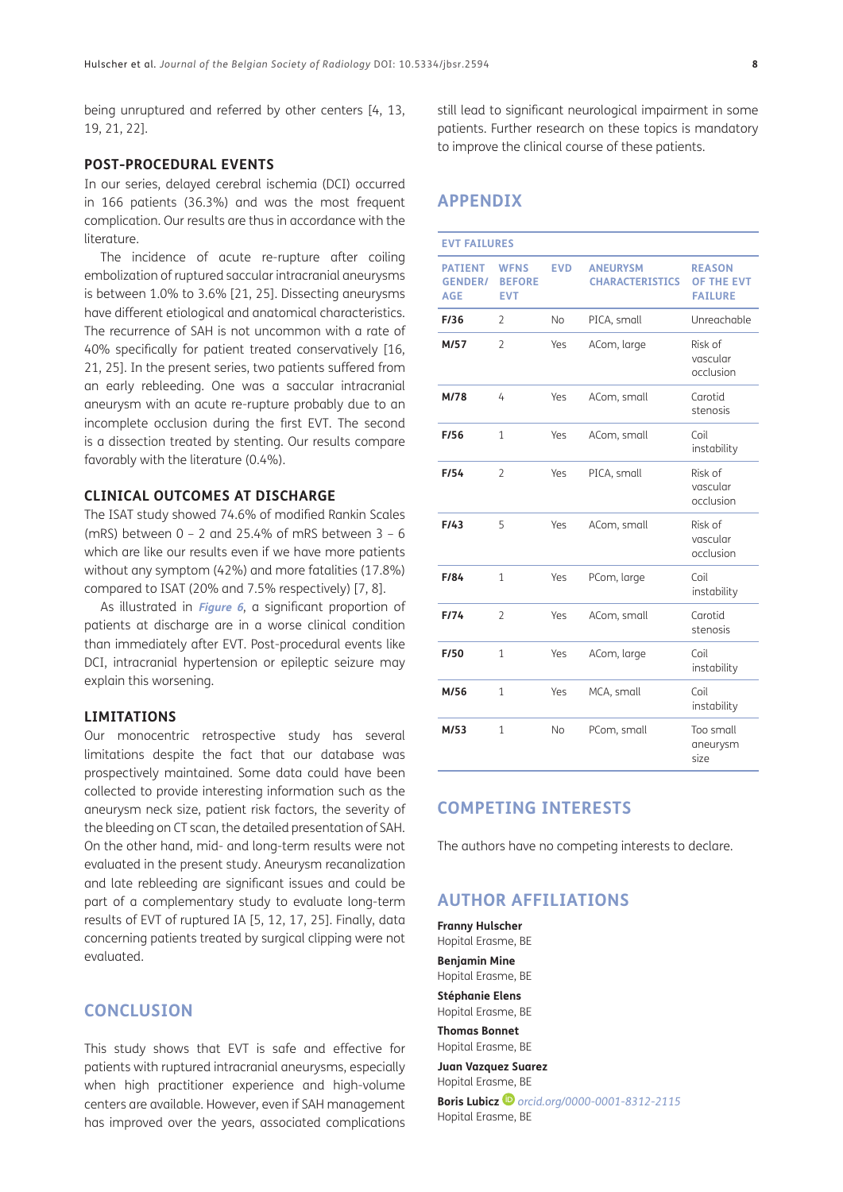being unruptured and referred by other centers [[4](#page-8-0), [13](#page-8-0), [19, 21, 22](#page-8-0)].

#### **POST-PROCEDURAL EVENTS**

In our series, delayed cerebral ischemia (DCI) occurred in 166 patients (36.3%) and was the most frequent complication. Our results are thus in accordance with the literature.

The incidence of acute re-rupture after coiling embolization of ruptured saccular intracranial aneurysms is between 1.0% to 3.6% [[21,](#page-8-0) [25\]](#page-9-0). Dissecting aneurysms have different etiological and anatomical characteristics. The recurrence of SAH is not uncommon with a rate of 40% specifically for patient treated conservatively [[16](#page-8-0), [21,](#page-8-0) [25\]](#page-9-0). In the present series, two patients suffered from an early rebleeding. One was a saccular intracranial aneurysm with an acute re-rupture probably due to an incomplete occlusion during the first EVT. The second is a dissection treated by stenting. Our results compare favorably with the literature (0.4%).

# **CLINICAL OUTCOMES AT DISCHARGE**

The ISAT study showed 74.6% of modified Rankin Scales (mRS) between  $0 - 2$  and 25.4% of mRS between  $3 - 6$ which are like our results even if we have more patients without any symptom (42%) and more fatalities (17.8%) compared to ISAT (20% and 7.5% respectively) [[7](#page-8-0), [8\]](#page-8-0).

As illustrated in **[Figure 6](#page-5-1)**, a significant proportion of patients at discharge are in a worse clinical condition than immediately after EVT. Post-procedural events like DCI, intracranial hypertension or epileptic seizure may explain this worsening.

### **LIMITATIONS**

Our monocentric retrospective study has several limitations despite the fact that our database was prospectively maintained. Some data could have been collected to provide interesting information such as the aneurysm neck size, patient risk factors, the severity of the bleeding on CT scan, the detailed presentation of SAH. On the other hand, mid- and long-term results were not evaluated in the present study. Aneurysm recanalization and late rebleeding are significant issues and could be part of a complementary study to evaluate long-term results of EVT of ruptured IA [\[5](#page-8-0), [12,](#page-8-0) [17,](#page-8-0) [25\]](#page-9-0). Finally, data concerning patients treated by surgical clipping were not evaluated.

# **CONCLUSION**

This study shows that EVT is safe and effective for patients with ruptured intracranial aneurysms, especially when high practitioner experience and high-volume centers are available. However, even if SAH management has improved over the years, associated complications still lead to significant neurological impairment in some patients. Further research on these topics is mandatory to improve the clinical course of these patients.

# **APPENDIX**

| <b>EVT FAILURES</b>                            |                                            |            |                                           |                                                      |  |  |
|------------------------------------------------|--------------------------------------------|------------|-------------------------------------------|------------------------------------------------------|--|--|
| <b>PATIENT</b><br><b>GENDER/</b><br><b>AGE</b> | <b>WFNS</b><br><b>BEFORE</b><br><b>EVT</b> | <b>EVD</b> | <b>ANEURYSM</b><br><b>CHARACTERISTICS</b> | <b>REASON</b><br><b>OF THE EVT</b><br><b>FAILURE</b> |  |  |
| F/36                                           | $\overline{2}$                             | <b>No</b>  | PICA, small                               | Unreachable                                          |  |  |
| M/57                                           | $\overline{2}$                             | Yes        | ACom, large                               | Risk of<br>vascular<br>occlusion                     |  |  |
| M/78                                           | 4                                          | Yes        | ACom, small                               | Carotid<br>stenosis                                  |  |  |
| F/56                                           | 1                                          | Yes        | ACom, small                               | Coil<br>instability                                  |  |  |
| F/54                                           | $\overline{2}$                             | Yes        | PICA, small                               | Risk of<br>vascular<br>occlusion                     |  |  |
| F/43                                           | 5                                          | Yes        | ACom, small                               | Risk of<br>vascular<br>occlusion                     |  |  |
| F/84                                           | 1                                          | Yes        | PCom, large                               | Coil<br>instability                                  |  |  |
| F/74                                           | 2                                          | Yes        | ACom, small                               | Carotid<br>stenosis                                  |  |  |
| F/50                                           | 1                                          | Yes        | ACom, large                               | Coil<br>instability                                  |  |  |
| M/56                                           | 1                                          | Yes        | MCA, small                                | Coil<br>instability                                  |  |  |
| M/53                                           | $\mathbf{1}$                               | <b>No</b>  | PCom, small                               | Too small<br>aneurysm<br>size                        |  |  |

# **COMPETING INTERESTS**

The authors have no competing interests to declare.

# <span id="page-7-0"></span>**AUTHOR AFFILIATIONS**

**Franny Hulscher** Hopital Erasme, BE **Benjamin Mine** Hopital Erasme, BE **Stéphanie Elens** Hopital Erasme, BE

**Thomas Bonnet** Hopital Erasme, BE

**Juan Vazquez Suarez** Hopital Erasme, BE

**Boris Lubicz**  $\bullet$  [orcid.org/0000-0001-8312-2115](https://orcid.org/0000-0001-8312-2115) Hopital Erasme, BE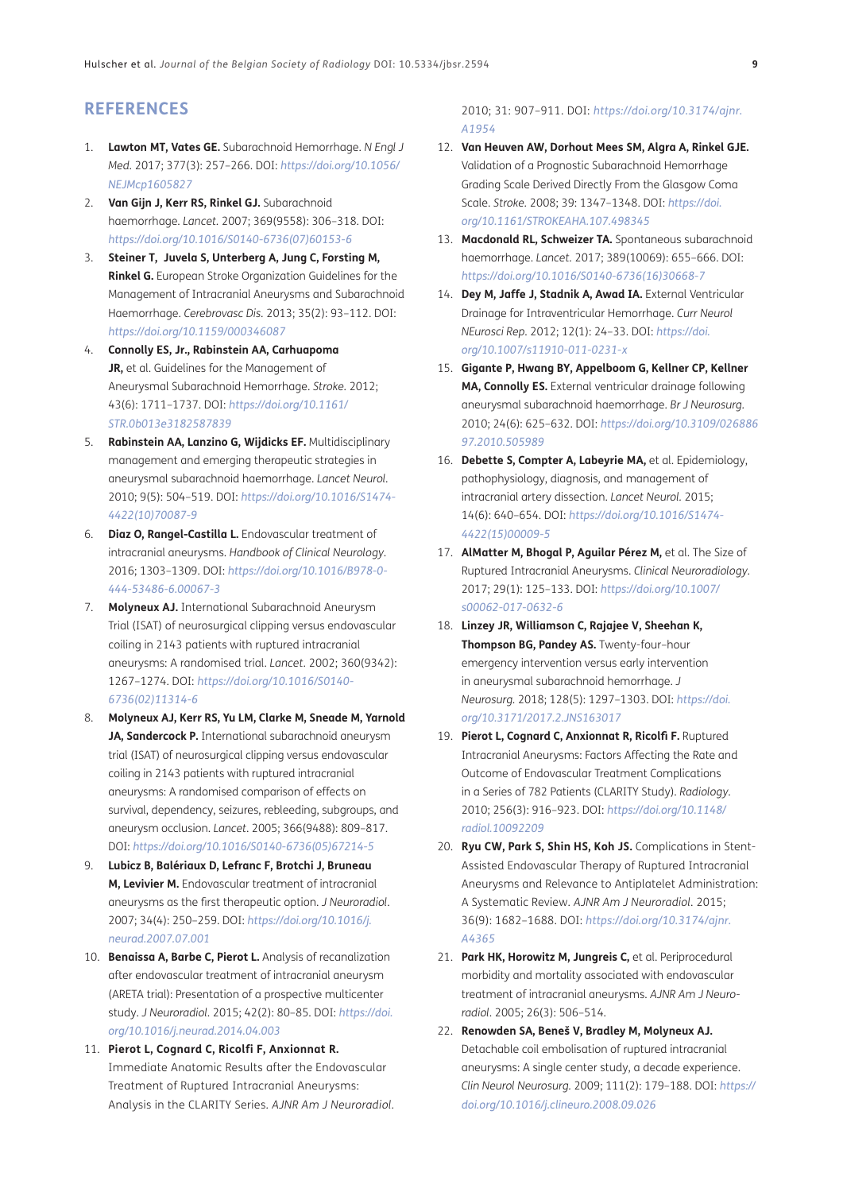# <span id="page-8-0"></span>**REFERENCES**

- 1. **Lawton MT, Vates GE.** Subarachnoid Hemorrhage. *N Engl J Med.* 2017; 377(3): 257–266. DOI: *[https://doi.org/10.1056/](https://doi.org/10.1056/NEJMcp1605827) [NEJMcp1605827](https://doi.org/10.1056/NEJMcp1605827)*
- 2. **Van Gijn J, Kerr RS, Rinkel GJ.** Subarachnoid haemorrhage. *Lancet.* 2007; 369(9558): 306–318. DOI: *[https://doi.org/10.1016/S0140-6736\(07\)60153-6](https://doi.org/10.1016/S0140-6736(07)60153-6)*
- 3. **Steiner T, Juvela S, Unterberg A, Jung C, Forsting M, Rinkel G.** European Stroke Organization Guidelines for the Management of Intracranial Aneurysms and Subarachnoid Haemorrhage. *Cerebrovasc Dis.* 2013; 35(2): 93–112. DOI: *<https://doi.org/10.1159/000346087>*
- 4. **Connolly ES, Jr., Rabinstein AA, Carhuapoma JR,** et al. Guidelines for the Management of Aneurysmal Subarachnoid Hemorrhage. *Stroke.* 2012; 43(6): 1711–1737. DOI: *[https://doi.org/10.1161/](https://doi.org/10.1161/STR.0b013e3182587839) [STR.0b013e3182587839](https://doi.org/10.1161/STR.0b013e3182587839)*
- 5. **Rabinstein AA, Lanzino G, Wijdicks EF.** Multidisciplinary management and emerging therapeutic strategies in aneurysmal subarachnoid haemorrhage. *Lancet Neurol.* 2010; 9(5): 504–519. DOI: *[https://doi.org/10.1016/S1474-](https://doi.org/10.1016/S1474-4422(10)70087-9) [4422\(10\)70087-9](https://doi.org/10.1016/S1474-4422(10)70087-9)*
- 6. **Diaz O, Rangel-Castilla L.** Endovascular treatment of intracranial aneurysms. *Handbook of Clinical Neurology*. 2016; 1303–1309. DOI: *[https://doi.org/10.1016/B978-0-](https://doi.org/10.1016/B978-0-444-53486-6.00067-3) [444-53486-6.00067-3](https://doi.org/10.1016/B978-0-444-53486-6.00067-3)*
- 7. **Molyneux AJ.** International Subarachnoid Aneurysm Trial (ISAT) of neurosurgical clipping versus endovascular coiling in 2143 patients with ruptured intracranial aneurysms: A randomised trial. *Lancet.* 2002; 360(9342): 1267–1274. DOI: *[https://doi.org/10.1016/S0140-](https://doi.org/10.1016/S0140-6736(02)11314-6) [6736\(02\)11314-6](https://doi.org/10.1016/S0140-6736(02)11314-6)*
- 8. **Molyneux AJ, Kerr RS, Yu LM, Clarke M, Sneade M, Yarnold JA, Sandercock P.** International subarachnoid aneurysm trial (ISAT) of neurosurgical clipping versus endovascular coiling in 2143 patients with ruptured intracranial aneurysms: A randomised comparison of effects on survival, dependency, seizures, rebleeding, subgroups, and aneurysm occlusion. *Lancet*. 2005; 366(9488): 809–817. DOI: *[https://doi.org/10.1016/S0140-6736\(05\)67214-5](https://doi.org/10.1016/S0140-6736(05)67214-5)*
- 9. **Lubicz B, Balériaux D, Lefranc F, Brotchi J, Bruneau M, Levivier M.** Endovascular treatment of intracranial aneurysms as the first therapeutic option. *J Neuroradiol*. 2007; 34(4): 250–259. DOI: *[https://doi.org/10.1016/j.](https://doi.org/10.1016/j.neurad.2007.07.001) [neurad.2007.07.001](https://doi.org/10.1016/j.neurad.2007.07.001)*
- 10. **Benaissa A, Barbe C, Pierot L.** Analysis of recanalization after endovascular treatment of intracranial aneurysm (ARETA trial): Presentation of a prospective multicenter study. *J Neuroradiol*. 2015; 42(2): 80–85. DOI: *[https://doi.](https://doi.org/10.1016/j.neurad.2014.04.003) [org/10.1016/j.neurad.2014.04.003](https://doi.org/10.1016/j.neurad.2014.04.003)*
- 11. **Pierot L, Cognard C, Ricolfi F, Anxionnat R.** Immediate Anatomic Results after the Endovascular Treatment of Ruptured Intracranial Aneurysms: Analysis in the CLARITY Series*. AJNR Am J Neuroradiol.*

2010; 31: 907–911. DOI: *[https://doi.org/10.3174/ajnr.](https://doi.org/10.3174/ajnr.A1954) [A1954](https://doi.org/10.3174/ajnr.A1954)*

- 12. **Van Heuven AW, Dorhout Mees SM, Algra A, Rinkel GJE.** Validation of a Prognostic Subarachnoid Hemorrhage Grading Scale Derived Directly From the Glasgow Coma Scale. *Stroke.* 2008; 39: 1347–1348. DOI: *[https://doi.](https://doi.org/10.1161/STROKEAHA.107.498345) [org/10.1161/STROKEAHA.107.498345](https://doi.org/10.1161/STROKEAHA.107.498345)*
- 13. **Macdonald RL, Schweizer TA.** Spontaneous subarachnoid haemorrhage. *Lancet.* 2017; 389(10069): 655–666. DOI: *[https://doi.org/10.1016/S0140-6736\(16\)30668-7](https://doi.org/10.1016/S0140-6736(16)30668-7)*
- 14. **Dey M, Jaffe J, Stadnik A, Awad IA.** External Ventricular Drainage for Intraventricular Hemorrhage. *Curr Neurol NEurosci Rep*. 2012; 12(1): 24–33. DOI: *[https://doi.](https://doi.org/10.1007/s11910-011-0231-x) [org/10.1007/s11910-011-0231-x](https://doi.org/10.1007/s11910-011-0231-x)*
- 15. **Gigante P, Hwang BY, Appelboom G, Kellner CP, Kellner MA, Connolly ES.** External ventricular drainage following aneurysmal subarachnoid haemorrhage. *Br J Neurosurg.* 2010; 24(6): 625–632. DOI: *[https://doi.org/10.3109/026886](https://doi.org/10.3109/02688697.2010.505989) [97.2010.505989](https://doi.org/10.3109/02688697.2010.505989)*
- 16. **Debette S, Compter A, Labeyrie MA,** et al. Epidemiology, pathophysiology, diagnosis, and management of intracranial artery dissection. *Lancet Neurol.* 2015; 14(6): 640–654. DOI: *[https://doi.org/10.1016/S1474-](https://doi.org/10.1016/S1474-4422(15)00009-5) [4422\(15\)00009-5](https://doi.org/10.1016/S1474-4422(15)00009-5)*
- 17. **AlMatter M, Bhogal P, Aguilar Pérez M,** et al. The Size of Ruptured Intracranial Aneurysms. *Clinical Neuroradiology.* 2017; 29(1): 125–133. DOI: *[https://doi.org/10.1007/](https://doi.org/10.1007/s00062-017-0632-6) [s00062-017-0632-6](https://doi.org/10.1007/s00062-017-0632-6)*
- 18. **Linzey JR, Williamson C, Rajajee V, Sheehan K, Thompson BG, Pandey AS.** Twenty-four–hour emergency intervention versus early intervention in aneurysmal subarachnoid hemorrhage. *J Neurosurg.* 2018; 128(5): 1297–1303. DOI: *[https://doi.](https://doi.org/10.3171/2017.2.JNS163017) [org/10.3171/2017.2.JNS163017](https://doi.org/10.3171/2017.2.JNS163017)*
- 19. **Pierot L, Cognard C, Anxionnat R, Ricolfi F.** Ruptured Intracranial Aneurysms: Factors Affecting the Rate and Outcome of Endovascular Treatment Complications in a Series of 782 Patients (CLARITY Study). *Radiology*. 2010; 256(3): 916–923. DOI: *[https://doi.org/10.1148/](https://doi.org/10.1148/radiol.10092209) [radiol.10092209](https://doi.org/10.1148/radiol.10092209)*
- 20. **Ryu CW, Park S, Shin HS, Koh JS.** Complications in Stent-Assisted Endovascular Therapy of Ruptured Intracranial Aneurysms and Relevance to Antiplatelet Administration: A Systematic Review. *AJNR Am J Neuroradiol*. 2015; 36(9): 1682–1688. DOI: *[https://doi.org/10.3174/ajnr.](https://doi.org/10.3174/ajnr.A4365) [A4365](https://doi.org/10.3174/ajnr.A4365)*
- 21. **Park HK, Horowitz M, Jungreis C,** et al. Periprocedural morbidity and mortality associated with endovascular treatment of intracranial aneurysms. *AJNR Am J Neuroradiol*. 2005; 26(3): 506–514.
- 22. **Renowden SA, Beneš V, Bradley M, Molyneux AJ.** Detachable coil embolisation of ruptured intracranial aneurysms: A single center study, a decade experience. *Clin Neurol Neurosurg.* 2009; 111(2): 179–188. DOI: *[https://](https://doi.org/10.1016/j.clineuro.2008.09.026) [doi.org/10.1016/j.clineuro.2008.09.026](https://doi.org/10.1016/j.clineuro.2008.09.026)*